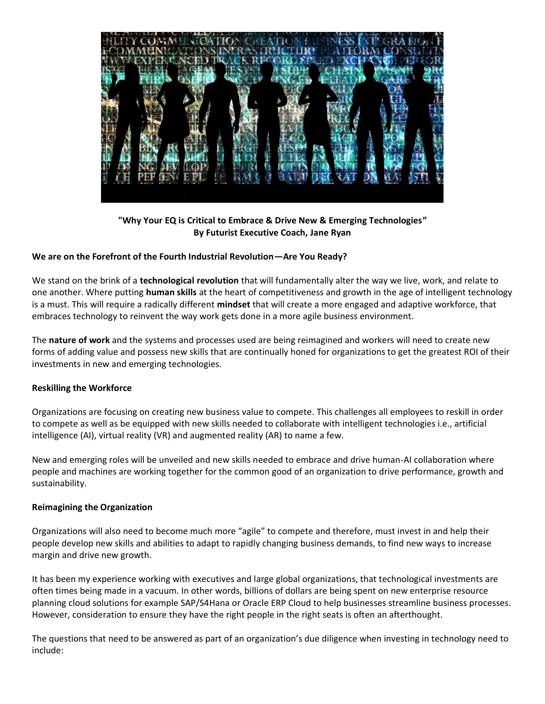

**"Why Your EQ is Critical to Embrace & Drive New & Emerging Technologies" By Futurist Executive Coach, Jane Ryan**

## **We are on the Forefront of the Fourth Industrial Revolution—Are You Ready?**

We stand on the brink of a **technological revolution** that will fundamentally alter the way we live, work, and relate to one another. Where putting **human skills** at the heart of competitiveness and growth in the age of intelligent technology is a must. This will require a radically different **mindset** that will create a more engaged and adaptive workforce, that embraces technology to reinvent the way work gets done in a more agile business environment.

The **nature of work** and the systems and processes used are being reimagined and workers will need to create new forms of adding value and possess new skills that are continually honed for organizations to get the greatest ROI of their investments in new and emerging technologies.

## **Reskilling the Workforce**

Organizations are focusing on creating new business value to compete. This challenges all employees to reskill in order to compete as well as be equipped with new skills needed to collaborate with intelligent technologies i.e., artificial intelligence (AI), virtual reality (VR) and augmented reality (AR) to name a few.

New and emerging roles will be unveiled and new skills needed to embrace and drive human-AI collaboration where people and machines are working together for the common good of an organization to drive performance, growth and sustainability.

#### **Reimagining the Organization**

Organizations will also need to become much more "agile" to compete and therefore, must invest in and help their people develop new skills and abilities to adapt to rapidly changing business demands, to find new ways to increase margin and drive new growth.

It has been my experience working with executives and large global organizations, that technological investments are often times being made in a vacuum. In other words, billions of dollars are being spent on new enterprise resource planning cloud solutions for example SAP/S4Hana or Oracle ERP Cloud to help businesses streamline business processes. However, consideration to ensure they have the right people in the right seats is often an afterthought.

The questions that need to be answered as part of an organization's due diligence when investing in technology need to include: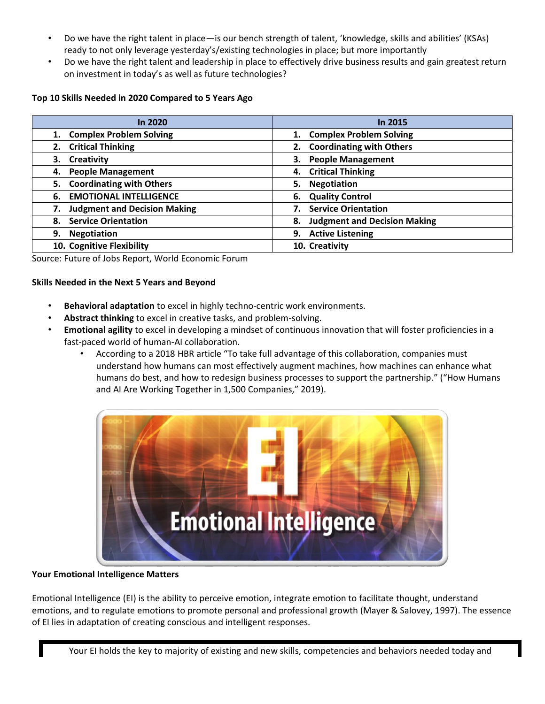- Do we have the right talent in place—is our bench strength of talent, 'knowledge, skills and abilities' (KSAs) ready to not only leverage yesterday's/existing technologies in place; but more importantly
- Do we have the right talent and leadership in place to effectively drive business results and gain greatest return on investment in today's as well as future technologies?

## **Top 10 Skills Needed in 2020 Compared to 5 Years Ago**

| In 2020                               | In 2015                                   |
|---------------------------------------|-------------------------------------------|
| 1. Complex Problem Solving            | <b>Complex Problem Solving</b><br>1.      |
| 2. Critical Thinking                  | 2. Coordinating with Others               |
| Creativity<br>З.                      | <b>People Management</b><br>3.            |
| <b>People Management</b><br>4.        | 4. Critical Thinking                      |
| <b>Coordinating with Others</b><br>5. | <b>Negotiation</b><br>5.                  |
| <b>EMOTIONAL INTELLIGENCE</b><br>6.   | 6. Quality Control                        |
| <b>Judgment and Decision Making</b>   | <b>Service Orientation</b>                |
| <b>Service Orientation</b><br>8.      | <b>Judgment and Decision Making</b><br>8. |
| <b>Negotiation</b><br>9.              | 9. Active Listening                       |
| 10. Cognitive Flexibility             | 10. Creativity                            |

Source: Future of Jobs Report, World Economic Forum

## **Skills Needed in the Next 5 Years and Beyond**

- **Behavioral adaptation** to excel in highly techno-centric work environments.
- **Abstract thinking** to excel in creative tasks, and problem-solving.
- **Emotional agility** to excel in developing a mindset of continuous innovation that will foster proficiencies in a fast-paced world of human-AI collaboration.
	- According to a 2018 HBR article "To take full advantage of this collaboration, companies must understand how humans can most effectively augment machines, how machines can enhance what humans do best, and how to redesign business processes to support the partnership." ("How Humans and AI Are Working Together in 1,500 Companies," 2019).



## **Your Emotional Intelligence Matters**

Emotional Intelligence (EI) is the ability to perceive emotion, integrate emotion to facilitate thought, understand emotions, and to regulate emotions to promote personal and professional growth (Mayer & Salovey, 1997). The essence of EI lies in adaptation of creating conscious and intelligent responses.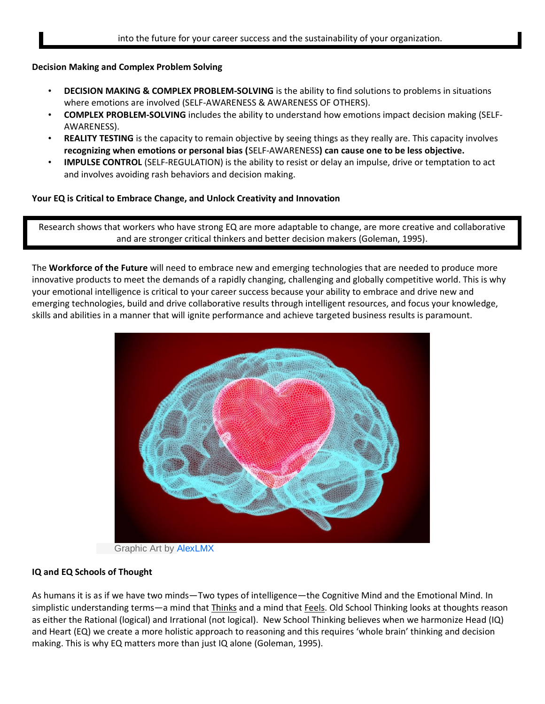## **Decision Making and Complex Problem Solving**

- **DECISION MAKING & COMPLEX PROBLEM-SOLVING** is the ability to find solutions to problems in situations where emotions are involved (SELF-AWARENESS & AWARENESS OF OTHERS).
- **COMPLEX PROBLEM-SOLVING** includes the ability to understand how emotions impact decision making (SELF-AWARENESS).
- **REALITY TESTING** is the capacity to remain objective by seeing things as they really are. This capacity involves **recognizing when emotions or personal bias (**SELF-AWARENESS**) can cause one to be less objective.**
- **IMPULSE CONTROL** (SELF-REGULATION) is the ability to resist or delay an impulse, drive or temptation to act and involves avoiding rash behaviors and decision making.

## **Your EQ is Critical to Embrace Change, and Unlock Creativity and Innovation**

Research shows that workers who have strong EQ are more adaptable to change, are more creative and collaborative and are stronger critical thinkers and better decision makers (Goleman, 1995).

The **Workforce of the Future** will need to embrace new and emerging technologies that are needed to produce more innovative products to meet the demands of a rapidly changing, challenging and globally competitive world. This is why your emotional intelligence is critical to your career success because your ability to embrace and drive new and emerging technologies, build and drive collaborative results through intelligent resources, and focus your knowledge, skills and abilities in a manner that will ignite performance and achieve targeted business results is paramount.



Graphic Art by AlexLMX

## **IQ and EQ Schools of Thought**

As humans it is as if we have two minds—Two types of intelligence—the Cognitive Mind and the Emotional Mind. In simplistic understanding terms—a mind that Thinks and a mind that Feels. Old School Thinking looks at thoughts reason as either the Rational (logical) and Irrational (not logical). New School Thinking believes when we harmonize Head (IQ) and Heart (EQ) we create a more holistic approach to reasoning and this requires 'whole brain' thinking and decision making. This is why EQ matters more than just IQ alone (Goleman, 1995).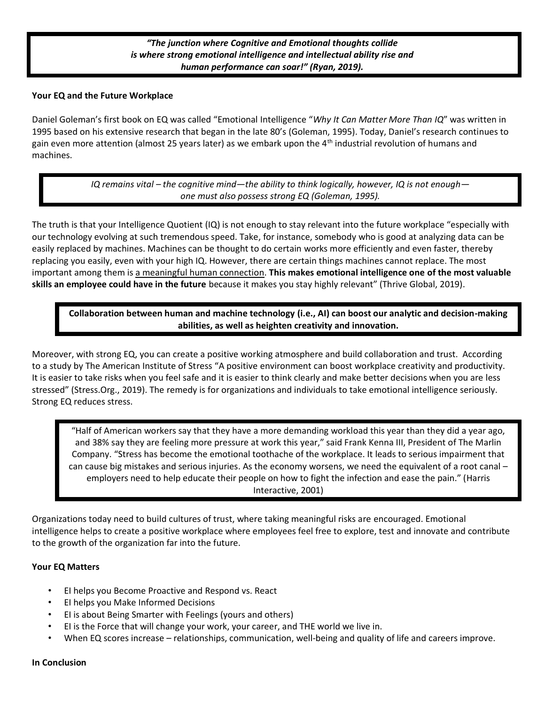# *"The junction where Cognitive and Emotional thoughts collide is where strong emotional intelligence and intellectual ability rise and human performance can soar!" (Ryan, 2019).*

#### **Your EQ and the Future Workplace**

Daniel Goleman's first book on EQ was called "Emotional Intelligence "*Why It Can Matter More Than IQ*" was written in 1995 based on his extensive research that began in the late 80's (Goleman, 1995). Today, Daniel's research continues to gain even more attention (almost 25 years later) as we embark upon the 4th industrial revolution of humans and machines.

> *IQ remains vital – the cognitive mind—the ability to think logically, however, IQ is not enough one must also possess strong EQ (Goleman, 1995).*

The truth is that your Intelligence Quotient (IQ) is not enough to stay relevant into the future workplace "especially with our technology evolving at such tremendous speed. Take, for instance, somebody who is good at analyzing data can be easily replaced by machines. Machines can be thought to do certain works more efficiently and even faster, thereby replacing you easily, even with your high IQ. However, there are certain things machines cannot replace. The most important among them is a meaningful human connection. **This makes emotional intelligence one of the most valuable skills an employee could have in the future** because it makes you stay highly relevant" (Thrive Global, 2019).

**Collaboration between human and machine technology (i.e., AI) can boost our analytic and decision-making abilities, as well as heighten creativity and innovation.**

Moreover, with strong EQ, you can create a positive working atmosphere and build collaboration and trust. According to a study by The American Institute of Stress "A positive environment can boost workplace creativity and productivity. It is easier to take risks when you feel safe and it is easier to think clearly and make better decisions when you are less stressed" (Stress.Org., 2019). The remedy is for organizations and individuals to take emotional intelligence seriously. Strong EQ reduces stress.

"Half of American workers say that they have a more demanding workload this year than they did a year ago, and 38% say they are feeling more pressure at work this year," said Frank Kenna III, President of The Marlin Company. "Stress has become the emotional toothache of the workplace. It leads to serious impairment that can cause big mistakes and serious injuries. As the economy worsens, we need the equivalent of a root canal – employers need to help educate their people on how to fight the infection and ease the pain." (Harris Interactive, 2001)

Organizations today need to build cultures of trust, where taking meaningful risks are encouraged. Emotional intelligence helps to create a positive workplace where employees feel free to explore, test and innovate and contribute to the growth of the organization far into the future.

#### **Your EQ Matters**

- EI helps you Become Proactive and Respond vs. React
- EI helps you Make Informed Decisions
- EI is about Being Smarter with Feelings (yours and others)
- EI is the Force that will change your work, your career, and THE world we live in.
- When EQ scores increase relationships, communication, well-being and quality of life and careers improve.

#### **In Conclusion**